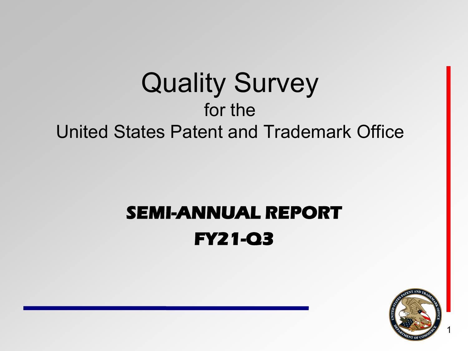### Quality Survey for the United States Patent and Trademark Office

### **SEMI-ANNUAL REPORT FY21-Q3**

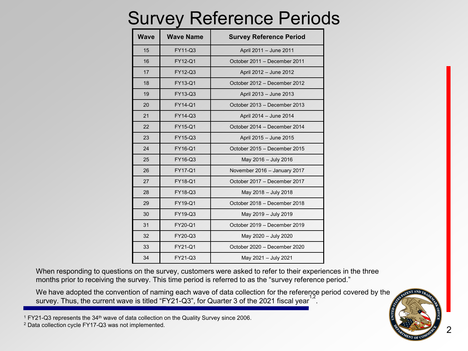### Survey Reference Periods

| <b>Wave</b> | Wave Name | <b>Survey Reference Period</b> |
|-------------|-----------|--------------------------------|
| 15          | FY11-Q3   | April 2011 - June 2011         |
| 16          | FY12-Q1   | October 2011 - December 2011   |
| 17          | FY12-Q3   | April 2012 - June 2012         |
| 18          | FY13-Q1   | October 2012 - December 2012   |
| 19          | FY13-Q3   | April 2013 - June 2013         |
| 20          | FY14-Q1   | October 2013 - December 2013   |
| 21          | FY14-Q3   | April 2014 - June 2014         |
| 22          | FY15-Q1   | October 2014 - December 2014   |
| 23          | FY15-Q3   | April 2015 - June 2015         |
| 24          | FY16-Q1   | October 2015 - December 2015   |
| 25          | FY16-Q3   | May 2016 - July 2016           |
| 26          | FY17-Q1   | November 2016 - January 2017   |
| 27          | FY18-Q1   | October 2017 - December 2017   |
| 28          | FY18-Q3   | May 2018 - July 2018           |
| 29          | FY19-Q1   | October 2018 - December 2018   |
| 30          | FY19-Q3   | May 2019 - July 2019           |
| 31          | FY20-Q1   | October 2019 - December 2019   |
| 32          | FY20-Q3   | May 2020 - July 2020           |
| 33          | FY21-Q1   | October 2020 - December 2020   |
| 34          | FY21-Q3   | May 2021 - July 2021           |

When responding to questions on the survey, customers were asked to refer to their experiences in the three months prior to receiving the survey. This time period is referred to as the "survey reference period."

We have adopted the convention of naming each wave of data collection for the reference period covered by the survey. Thus, the current wave is titled "FY21-Q3", for Quarter 3 of the 2021 fiscal year  $\overline{a}$ .

FY21-Q3 represents the 34<sup>th</sup> wave of data collection on the Quality Survey since 2006.

Data collection cycle FY17-Q3 was not implemented.

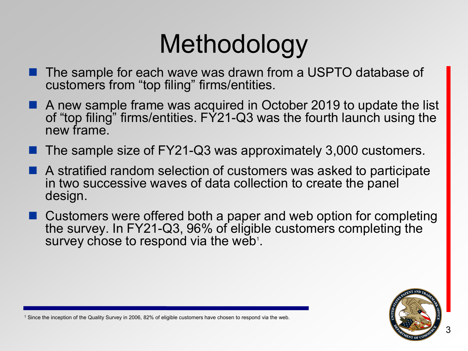# Methodology

- The sample for each wave was drawn from a USPTO database of customers from "top filing" firms/entities.
- A new sample frame was acquired in October 2019 to update the list of "top filing" firms/entities. FY21-Q3 was the fourth launch using the new frame.
- The sample size of FY21-Q3 was approximately 3,000 customers.
- A stratified random selection of customers was asked to participate in two successive waves of data collection to create the panel design.
- Customers were offered both a paper and web option for completing the survey. In FY21-Q3, 96% of eligible customers completing the survey chose to respond via the web<sup>1</sup>.



<sup>1</sup> Since the inception of the Quality Survey in 2006, 82% of eligible customers have chosen to respond via the web.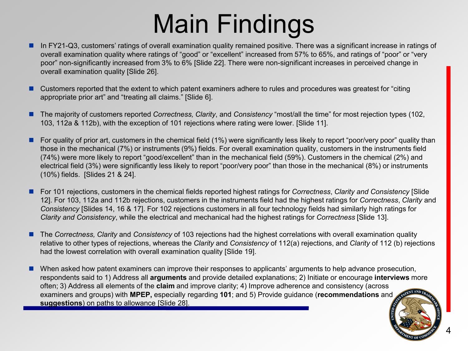# Main Findings

- In FY21-Q3, customers' ratings of overall examination quality remained positive. There was a significant increase in ratings of overall examination quality where ratings of "good" or "excellent" increased from 57% to 65%, and ratings of "poor" or "very poor" non-significantly increased from 3% to 6% [Slide 22]. There were non-significant increases in perceived change in overall examination quality [Slide 26].
- Customers reported that the extent to which patent examiners adhere to rules and procedures was greatest for "citing appropriate prior art" and "treating all claims." [Slide 6].
- The majority of customers reported *Correctness, Clarity*, and *Consistency* "most/all the time" for most rejection types (102, 103, 112a & 112b), with the exception of 101 rejections where rating were lower. [Slide 11].
- For quality of prior art, customers in the chemical field (1%) were significantly less likely to report "poor/very poor" quality than those in the mechanical (7%) or instruments (9%) fields. For overall examination quality, customers in the instruments field (74%) were more likely to report "good/excellent" than in the mechanical field (59%). Customers in the chemical (2%) and electrical field (3%) were significantly less likely to report "poor/very poor" than those in the mechanical (8%) or instruments (10%) fields. [Slides 21 & 24].
- For 101 rejections, customers in the chemical fields reported highest ratings for *Correctness*, *Clarity and Consistency* [Slide] 12]. For 103, 112a and 112b rejections, customers in the instruments field had the highest ratings for *Correctness*, *Clarity* and *Consistency* [Slides 14, 16 & 17]. For 102 rejections customers in all four technology fields had similarly high ratings for *Clarity and Consistency*, while the electrical and mechanical had the highest ratings for *Correctness* [Slide 13].
- The *Correctness, Clarity* and *Consistency* of 103 rejections had the highest correlations with overall examination quality relative to other types of rejections, whereas the *Clarity* and *Consistency* of 112(a) rejections, and *Clarity* of 112 (b) rejections had the lowest correlation with overall examination quality [Slide 19].
- When asked how patent examiners can improve their responses to applicants' arguments to help advance prosecution, respondents said to 1) Address all **arguments** and provide detailed explanations; 2) Initiate or encourage **interviews** more often; 3) Address all elements of the **claim** and improve clarity; 4) Improve adherence and consistency (across examiners and groups) with **MPEP,** especially regarding **101**; and 5) Provide guidance (**recommendations** and **suggestions**) on paths to allowance [Slide 28].

4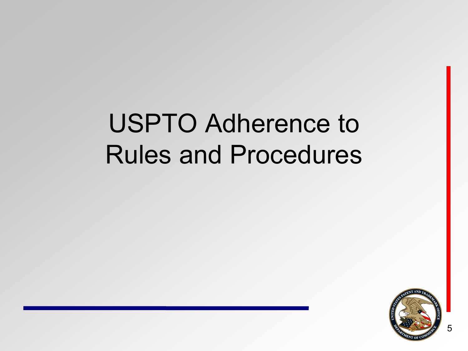# USPTO Adherence to Rules and Procedures

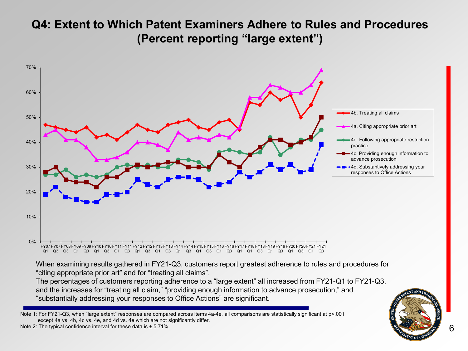#### **Q4: Extent to Which Patent Examiners Adhere to Rules and Procedures (Percent reporting "large extent")**



"substantially addressing your responses to Office Actions" are significant.

Note 1: For FY21-Q3, when "large extent" responses are compared across items 4a-4e, all comparisons are statistically significant at p<.001 except 4a vs. 4b, 4c vs. 4e, and 4d vs. 4e which are not significantly differ.

Note 2: The typical confidence interval for these data is  $\pm$  5.71%.

6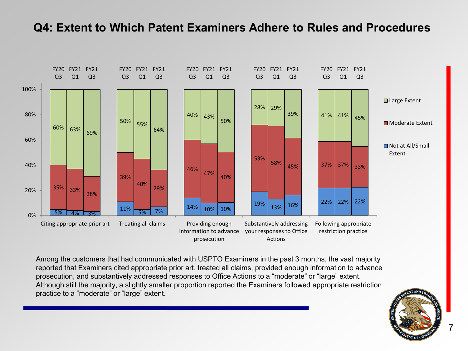#### **Q4: Extent to Which Patent Examiners Adhere to Rules and Procedures**



Among the customers that had communicated with USPTO Examiners in the past 3 months, the vast majority reported that Examiners cited appropriate prior art, treated all claims, provided enough information to advance prosecution, and substantively addressed responses to Office Actions to a "moderate" or "large" extent. Although still the majority, a slightly smaller proportion reported the Examiners followed appropriate restriction practice to a "moderate" or "large" extent.

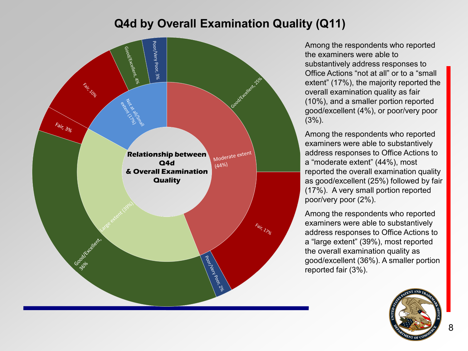#### **Q4d by Overall Examination Quality (Q11)**



Among the respondents who reported the examiners were able to substantively address responses to Office Actions "not at all" or to a "small extent" (17%), the majority reported the overall examination quality as fair (10%), and a smaller portion reported good/excellent (4%), or poor/very poor  $(3%)$ .

Among the respondents who reported examiners were able to substantively address responses to Office Actions to a "moderate extent" (44%), most reported the overall examination quality as good/excellent (25%) followed by fair (17%). A very small portion reported poor/very poor (2%).

Among the respondents who reported examiners were able to substantively address responses to Office Actions to a "large extent" (39%), most reported the overall examination quality as good/excellent (36%). A smaller portion reported fair (3%).

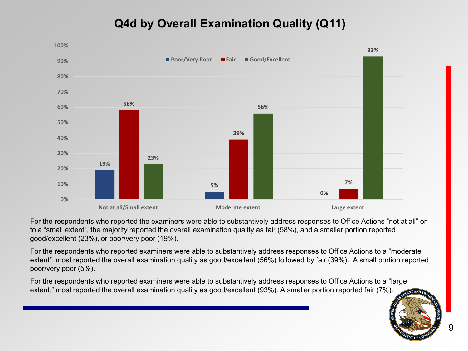#### **Q4d by Overall Examination Quality (Q11)**



For the respondents who reported the examiners were able to substantively address responses to Office Actions "not at all" or to a "small extent", the majority reported the overall examination quality as fair (58%), and a smaller portion reported good/excellent (23%), or poor/very poor (19%).

For the respondents who reported examiners were able to substantively address responses to Office Actions to a "moderate extent", most reported the overall examination quality as good/excellent (56%) followed by fair (39%). A small portion reported poor/very poor (5%).

For the respondents who reported examiners were able to substantively address responses to Office Actions to a "large extent," most reported the overall examination quality as good/excellent (93%). A smaller portion reported fair (7%).



9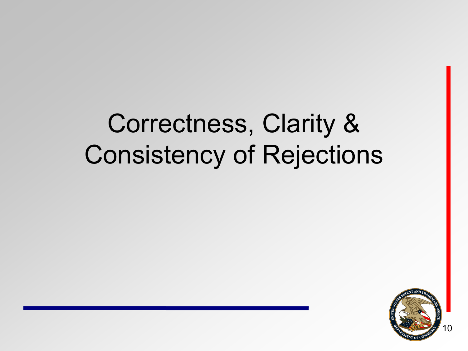### Correctness, Clarity & Consistency of Rejections

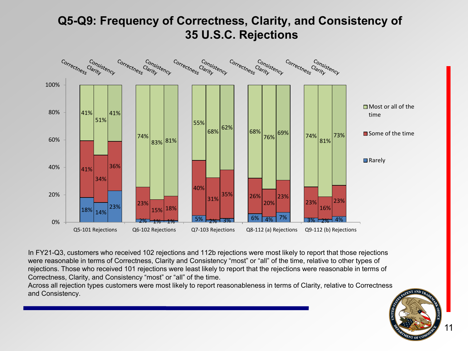#### **Q5-Q9: Frequency of Correctness, Clarity, and Consistency of 35 U.S.C. Rejections**



In FY21-Q3, customers who received 102 rejections and 112b rejections were most likely to report that those rejections were reasonable in terms of Correctness, Clarity and Consistency "most" or "all" of the time, relative to other types of rejections. Those who received 101 rejections were least likely to report that the rejections were reasonable in terms of Correctness, Clarity, and Consistency "most" or "all" of the time.

Across all rejection types customers were most likely to report reasonableness in terms of Clarity, relative to Correctness and Consistency.

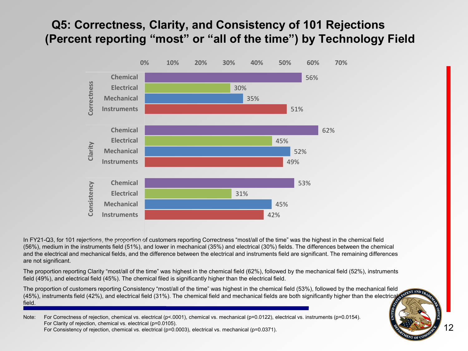#### **Q5: Correctness, Clarity, and Consistency of 101 Rejections (Percent reporting "most" or "all of the time") by Technology Field**



In FY21-Q3, for 101 rejections, the proportion of customers reporting Correctness "most/all of the time" was the highest in the chemical field (56%), medium in the instruments field (51%), and lower in mechanical (35%) and electrical (30%) fields. The differences between the chemical and the electrical and mechanical fields, and the difference between the electrical and instruments field are significant. The remaining differences are not significant.

The proportion reporting Clarity "most/all of the time" was highest in the chemical field (62%), followed by the mechanical field (52%), instruments field (49%), and electrical field (45%). The chemical filed is significantly higher than the electrical field.

The proportion of customers reporting Consistency "most/all of the time" was highest in the chemical field (53%), followed by the mechanical field (45%), instruments field (42%), and electrical field (31%). The chemical field and mechanical fields are both significantly higher than the electrical field.

12

Note: For Correctness of rejection, chemical vs. electrical (p<.0001), chemical vs. mechanical (p=0.0122), electrical vs. instruments (p=0.0154). For Clarity of rejection, chemical vs. electrical (p=0.0105). For Consistency of rejection, chemical vs. electrical (p=0.0003), electrical vs. mechanical (p=0.0371).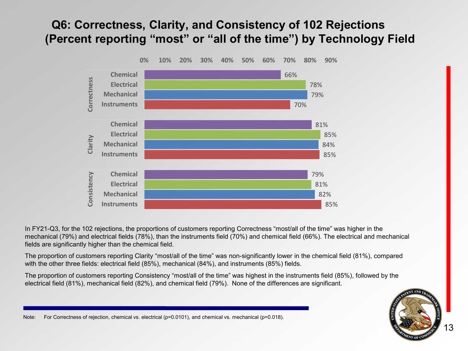#### **Q6: Correctness, Clarity, and Consistency of 102 Rejections (Percent reporting "most" or "all of the time") by Technology Field**



In FY21-Q3, for the 102 rejections, the proportions of customers reporting Correctness "most/all of the time" was higher in the mechanical (79%) and electrical fields (78%), than the instruments field (70%) and chemical field (66%). The electrical and mechanical fields are significantly higher than the chemical field.

The proportion of customers reporting Clarity "most/all of the time" was non-significantly lower in the chemical field (81%), compared with the other three fields: electrical field (85%), mechanical (84%), and instruments (85%) fields.

The proportion of customers reporting Consistency "most/all of the time" was highest in the instruments field (85%), followed by the electrical field (81%), mechanical field (82%), and chemical field (79%). None of the differences are significant.



Note: For Correctness of rejection, chemical vs. electrical (p=0.0101), and chemical vs. mechanical (p=0.018).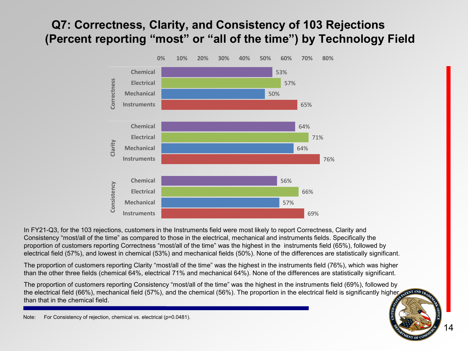#### **Q7: Correctness, Clarity, and Consistency of 103 Rejections (Percent reporting "most" or "all of the time") by Technology Field**



In FY21-Q3, for the 103 rejections, customers in the Instruments field were most likely to report Correctness, Clarity and Consistency "most/all of the time" as compared to those in the electrical, mechanical and instruments fields. Specifically the proportion of customers reporting Correctness "most/all of the time" was the highest in the instruments field (65%), followed by electrical field (57%), and lowest in chemical (53%) and mechanical fields (50%). None of the differences are statistically significant.

The proportion of customers reporting Clarity "most/all of the time" was the highest in the instruments field (76%), which was higher than the other three fields (chemical 64%, electrical 71% and mechanical 64%). None of the differences are statistically significant.

The proportion of customers reporting Consistency "most/all of the time" was the highest in the instruments field (69%), followed by the electrical field (66%), mechanical field (57%), and the chemical (56%). The proportion in the electrical field is significantly higher than that in the chemical field.

Note: For Consistency of rejection, chemical vs. electrical (p=0.0481).

14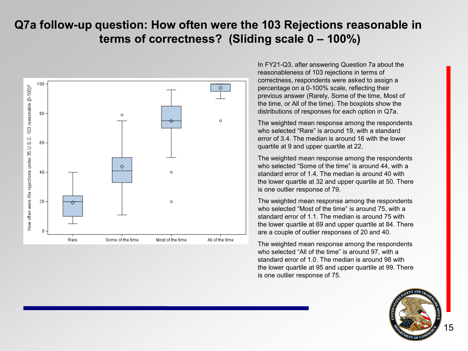#### **Q7a follow-up question: How often were the 103 Rejections reasonable in terms of correctness? (Sliding scale 0 – 100%)**



In FY21-Q3, after answering Question 7a about the reasonableness of 103 rejections in terms of correctness, respondents were asked to assign a percentage on a 0-100% scale, reflecting their previous answer (Rarely, Some of the time, Most of the time, or All of the time). The boxplots show the distributions of responses for each option in Q7a.

The weighted mean response among the respondents who selected "Rare" is around 19, with a standard error of 3.4. The median is around 16 with the lower quartile at 9 and upper quartile at 22.

The weighted mean response among the respondents who selected "Some of the time" is around 44, with a standard error of 1.4. The median is around 40 with the lower quartile at 32 and upper quartile at 50. There is one outlier response of 79.

The weighted mean response among the respondents who selected "Most of the time" is around 75, with a standard error of 1.1. The median is around 75 with the lower quartile at 69 and upper quartile at 84. There are a couple of outlier responses of 20 and 40.

The weighted mean response among the respondents who selected "All of the time" is around 97, with a standard error of 1.0. The median is around 98 with the lower quartile at 95 and upper quartile at 99. There is one outlier response of 75.

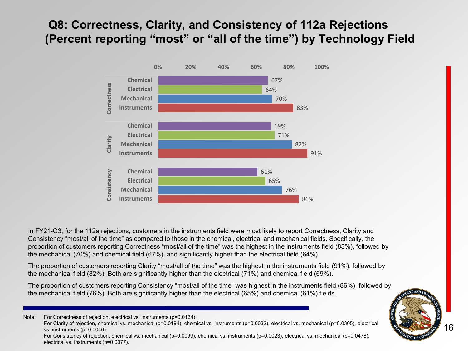#### **Q8: Correctness, Clarity, and Consistency of 112a Rejections (Percent reporting "most" or "all of the time") by Technology Field**



In FY21-Q3, for the 112a rejections, customers in the instruments field were most likely to report Correctness, Clarity and Consistency "most/all of the time" as compared to those in the chemical, electrical and mechanical fields. Specifically, the proportion of customers reporting Correctness "most/all of the time" was the highest in the instruments field (83%), followed by the mechanical (70%) and chemical field (67%), and significantly higher than the electrical field (64%).

The proportion of customers reporting Clarity "most/all of the time" was the highest in the instruments field (91%), followed by the mechanical field (82%). Both are significantly higher than the electrical (71%) and chemical field (69%).

The proportion of customers reporting Consistency "most/all of the time" was highest in the instruments field (86%), followed by the mechanical field (76%). Both are significantly higher than the electrical (65%) and chemical (61%) fields.

Note: For Correctness of rejection, electrical vs. instruments (p=0.0134).

For Consistency of rejection, chemical vs. mechanical (p=0.0099), chemical vs. instruments (p=0.0023), electrical vs. mechanical (p=0.0478), electrical vs. instruments (p=0.0077).



For Clarity of rejection, chemical vs. mechanical (p=0.0194), chemical vs. instruments (p=0.0032), electrical vs. mechanical (p=0.0305), electrical vs. instruments (p=0.0046).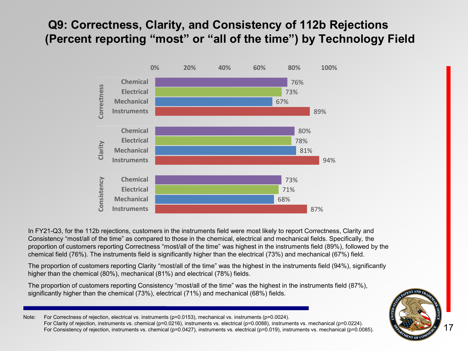#### **Q9: Correctness, Clarity, and Consistency of 112b Rejections (Percent reporting "most" or "all of the time") by Technology Field**



In FY21-Q3, for the 112b rejections, customers in the instruments field were most likely to report Correctness, Clarity and Consistency "most/all of the time" as compared to those in the chemical, electrical and mechanical fields. Specifically, the proportion of customers reporting Correctness "most/all of the time" was highest in the instruments field (89%), followed by the chemical field (76%). The instruments field is significantly higher than the electrical (73%) and mechanical (67%) field.

The proportion of customers reporting Clarity "most/all of the time" was the highest in the instruments field (94%), significantly higher than the chemical (80%), mechanical (81%) and electrical (78%) fields.

The proportion of customers reporting Consistency "most/all of the time" was the highest in the instruments field (87%), significantly higher than the chemical (73%), electrical (71%) and mechanical (68%) fields.

Note: For Correctness of rejection, electrical vs. instruments (p=0.0153), mechanical vs. instruments (p=0.0024). For Clarity of rejection, instruments vs. chemical (p=0.0216), instruments vs. electrical (p=0.0088), instruments vs. mechanical (p=0.0224). For Consistency of rejection, instruments vs. chemical (p=0.0427), instruments vs. electrical (p=0.019), instruments vs. mechanical (p=0.0085).

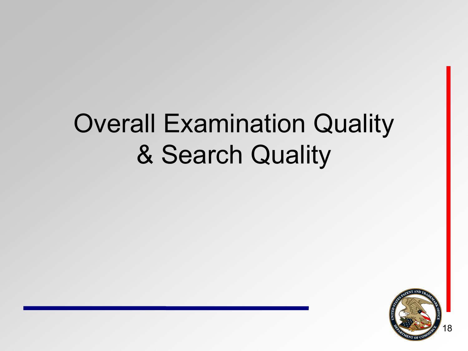# Overall Examination Quality & Search Quality

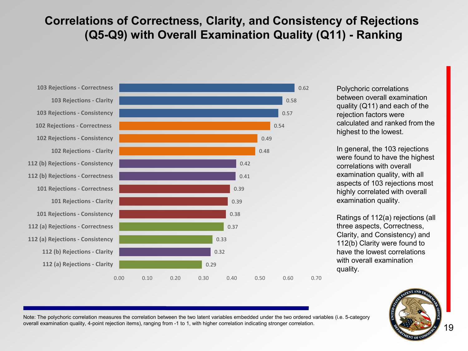#### **Correlations of Correctness, Clarity, and Consistency of Rejections (Q5-Q9) with Overall Examination Quality (Q11) - Ranking**





Polychoric correlations between overall examination quality (Q11) and each of the rejection factors were calculated and ranked from the highest to the lowest.

In general, the 103 rejections were found to have the highest correlations with overall examination quality, with all aspects of 103 rejections most highly correlated with overall examination quality.

Ratings of 112(a) rejections (all three aspects, Correctness, Clarity, and Consistency) and 112(b) Clarity were found to have the lowest correlations with overall examination quality.



Note: The polychoric correlation measures the correlation between the two latent variables embedded under the two ordered variables (i.e. 5-category overall examination quality, 4-point rejection items), ranging from -1 to 1, with higher correlation indicating stronger correlation.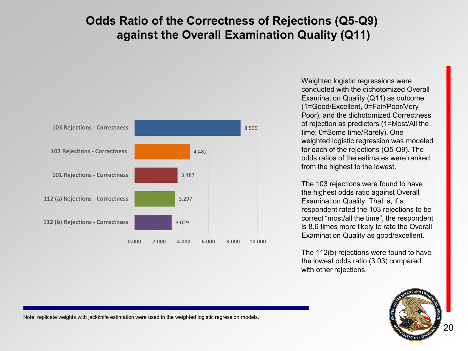#### **Odds Ratio of the Correctness of Rejections (Q5-Q9) against the Overall Examination Quality (Q11)**



Weighted logistic regressions were conducted with the dichotomized Overall Examination Quality (Q11) as outcome (1=Good/Excellent, 0=Fair/Poor/Very Poor), and the dichotomized Correctness of rejection as predictors (1=Most/All the time; 0=Some time/Rarely). One weighted logistic regression was modeled for each of the rejections (Q5-Q9). The odds ratios of the estimates were ranked from the highest to the lowest.

The 103 rejections were found to have the highest odds ratio against Overall Examination Quality. That is, if a respondent rated the 103 rejections to be correct "most/all the time", the respondent is 8.6 times more likely to rate the Overall Examination Quality as good/excellent.

The 112(b) rejections were found to have the lowest odds ratio (3.03) compared with other rejections.



Note: replicate weights with jackknife estimation were used in the weighted logistic regression models.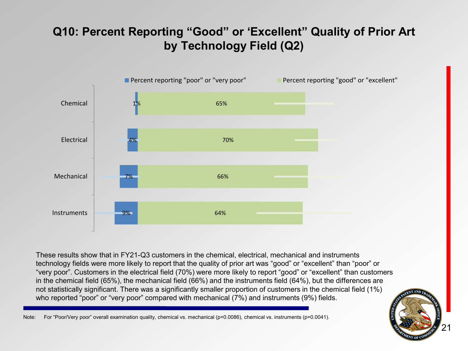### **Q10: Percent Reporting "Good" or 'Excellent" Quality of Prior Art by Technology Field (Q2)**



These results show that in FY21-Q3 customers in the chemical, electrical, mechanical and instruments technology fields were more likely to report that the quality of prior art was "good" or "excellent" than "poor" or "very poor". Customers in the electrical field (70%) were more likely to report "good" or "excellent" than customers in the chemical field (65%), the mechanical field (66%) and the instruments field (64%), but the differences are not statistically significant. There was a significantly smaller proportion of customers in the chemical field (1%) who reported "poor" or "very poor" compared with mechanical (7%) and instruments (9%) fields.

Note: For "Poor/Very poor" overall examination quality, chemical vs. mechanical (p=0.0086), chemical vs. instruments (p=0.0041).

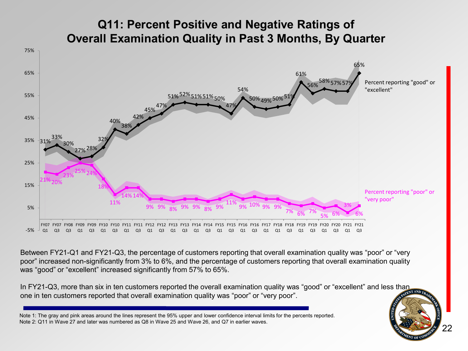#### **Q11: Percent Positive and Negative Ratings of Overall Examination Quality in Past 3 Months, By Quarter**



Between FY21-Q1 and FY21-Q3, the percentage of customers reporting that overall examination quality was "poor" or "very poor" increased non-significantly from 3% to 6%, and the percentage of customers reporting that overall examination quality was "good" or "excellent" increased significantly from 57% to 65%.

In FY21-Q3, more than six in ten customers reported the overall examination quality was "good" or "excellent" and less than one in ten customers reported that overall examination quality was "poor" or "very poor".

22

Note 1: The gray and pink areas around the lines represent the 95% upper and lower confidence interval limits for the percents reported. Note 2: Q11 in Wave 27 and later was numbered as Q8 in Wave 25 and Wave 26, and Q7 in earlier waves.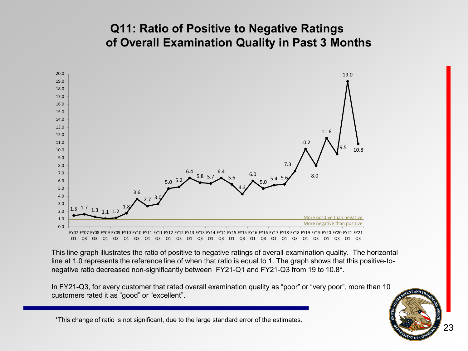#### **Q11: Ratio of Positive to Negative Ratings of Overall Examination Quality in Past 3 Months**



Q1 Q3 Q3 Q1 Q3 Q1 Q3 Q1 Q3 Q1 Q3 Q1 Q3 Q1 Q3 Q1 Q3 Q1 Q3 Q1 Q1 Q3 Q1 Q3 Q1 Q3  $Q1$ Q3

This line graph illustrates the ratio of positive to negative ratings of overall examination quality. The horizontal line at 1.0 represents the reference line of when that ratio is equal to 1. The graph shows that this positive-tonegative ratio decreased non-significantly between FY21-Q1 and FY21-Q3 from 19 to 10.8\*.

In FY21-Q3, for every customer that rated overall examination quality as "poor" or "very poor", more than 10 customers rated it as "good" or "excellent".

23

\*This change of ratio is not significant, due to the large standard error of the estimates.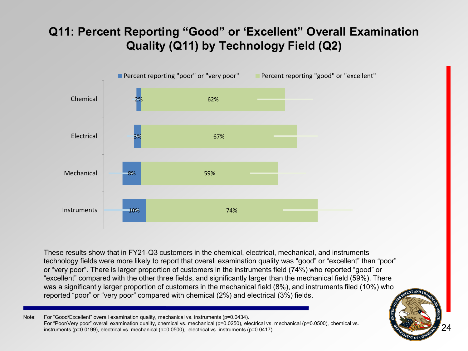#### **Q11: Percent Reporting "Good" or 'Excellent" Overall Examination Quality (Q11) by Technology Field (Q2)**



These results show that in FY21-Q3 customers in the chemical, electrical, mechanical, and instruments technology fields were more likely to report that overall examination quality was "good" or "excellent" than "poor" or "very poor". There is larger proportion of customers in the instruments field (74%) who reported "good" or "excellent" compared with the other three fields, and significantly larger than the mechanical field (59%). There was a significantly larger proportion of customers in the mechanical field (8%), and instruments filed (10%) who reported "poor" or "very poor" compared with chemical (2%) and electrical (3%) fields.

Note: For "Good/Excellent" overall examination quality, mechanical vs. instruments (p=0.0434). For "Poor/Very poor" overall examination quality, chemical vs. mechanical (p=0.0250), electrical vs. mechanical (p=0.0500), chemical vs. instruments (p=0.0199), electrical vs. mechanical (p=0.0500), electrical vs. instruments (p=0.0417).

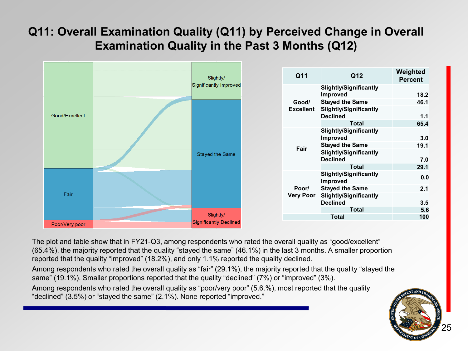### **Q11: Overall Examination Quality (Q11) by Perceived Change in Overall Examination Quality in the Past 3 Months (Q12)**



The plot and table show that in FY21-Q3, among respondents who rated the overall quality as "good/excellent" (65.4%), the majority reported that the quality "stayed the same" (46.1%) in the last 3 months. A smaller proportion reported that the quality "improved" (18.2%), and only 1.1% reported the quality declined.

Among respondents who rated the overall quality as "fair" (29.1%), the majority reported that the quality "stayed the same" (19.1%). Smaller proportions reported that the quality "declined" (7%) or "improved" (3%).

Among respondents who rated the overall quality as "poor/very poor" (5.6.%), most reported that the quality "declined" (3.5%) or "stayed the same" (2.1%). None reported "improved."

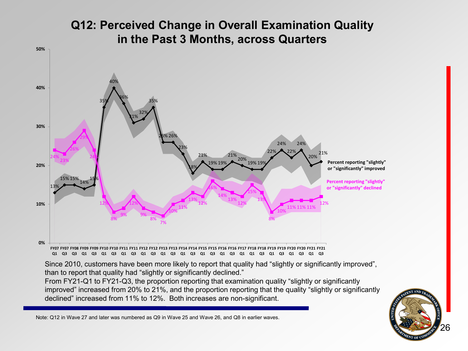#### **Q12: Perceived Change in Overall Examination Quality in the Past 3 Months, across Quarters**



Since 2010, customers have been more likely to report that quality had "slightly or significantly improved", than to report that quality had "slightly or significantly declined."

From FY21-Q1 to FY21-Q3, the proportion reporting that examination quality "slightly or significantly improved" increased from 20% to 21%, and the proportion reporting that the quality "slightly or significantly declined" increased from 11% to 12%. Both increases are non-significant.



Note: Q12 in Wave 27 and later was numbered as Q9 in Wave 25 and Wave 26, and Q8 in earlier waves.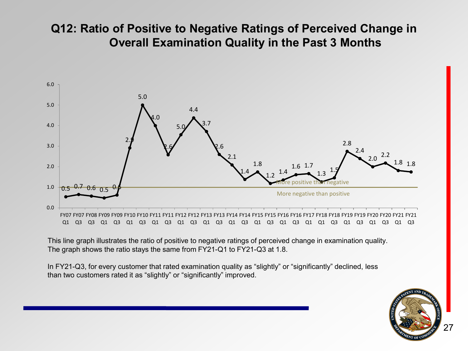#### **Q12: Ratio of Positive to Negative Ratings of Perceived Change in Overall Examination Quality in the Past 3 Months**



This line graph illustrates the ratio of positive to negative ratings of perceived change in examination quality. The graph shows the ratio stays the same from FY21-Q1 to FY21-Q3 at 1.8.

In FY21-Q3, for every customer that rated examination quality as "slightly" or "significantly" declined, less than two customers rated it as "slightly" or "significantly" improved.